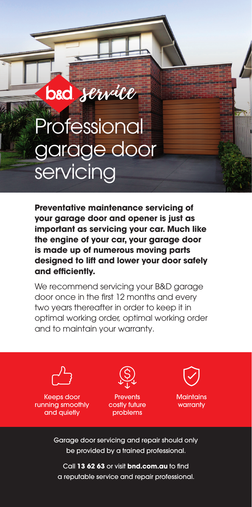## Professional garage door servicing

bad service

**Preventative maintenance servicing of your garage door and opener is just as important as servicing your car. Much like the engine of your car, your garage door is made up of numerous moving parts designed to lift and lower your door safely and efficiently.** 

We recommend servicing your B&D garage door once in the first 12 months and every two years thereafter in order to keep it in optimal working order, optimal working order and to maintain your warranty.



Keeps door running smoothly and quietly



**Prevents** costly future problems



**Maintains** warranty

Garage door servicing and repair should only be provided by a trained professional.

Call **13 62 63** or visit **bnd.com.au** to find a reputable service and repair professional.